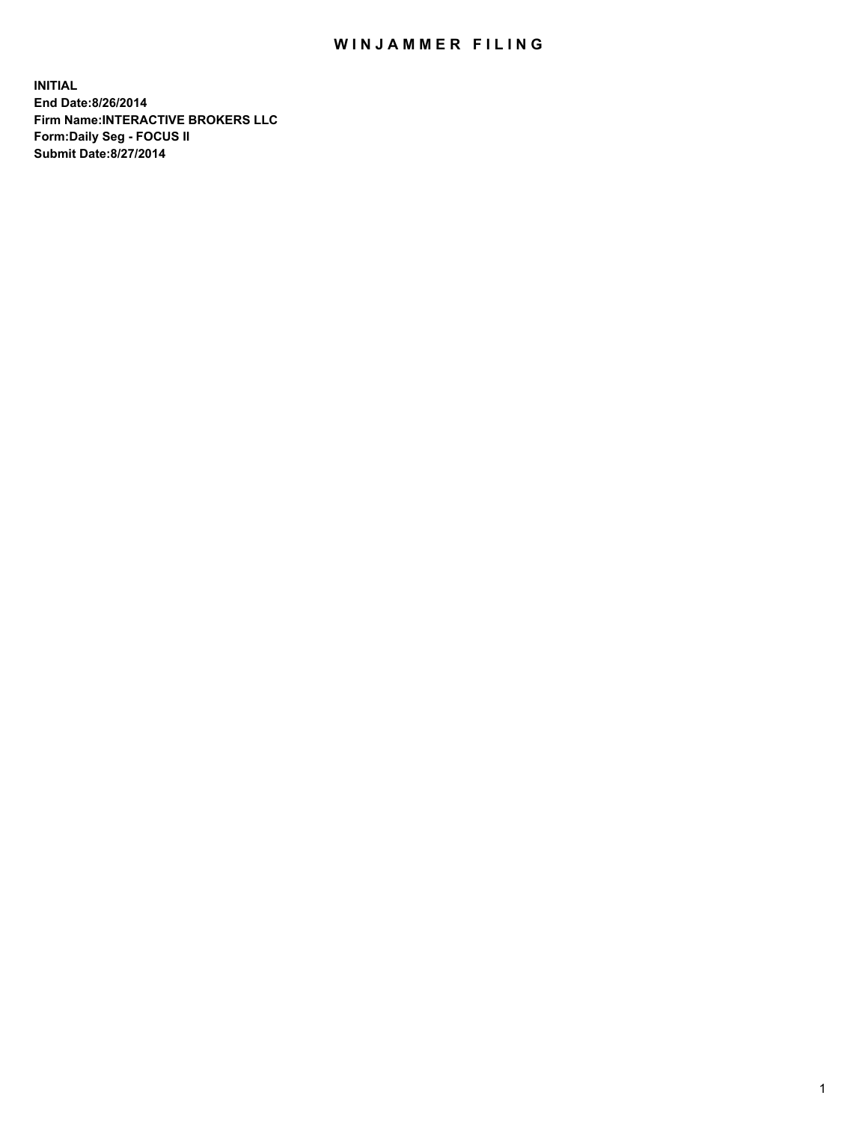## WIN JAMMER FILING

**INITIAL End Date:8/26/2014 Firm Name:INTERACTIVE BROKERS LLC Form:Daily Seg - FOCUS II Submit Date:8/27/2014**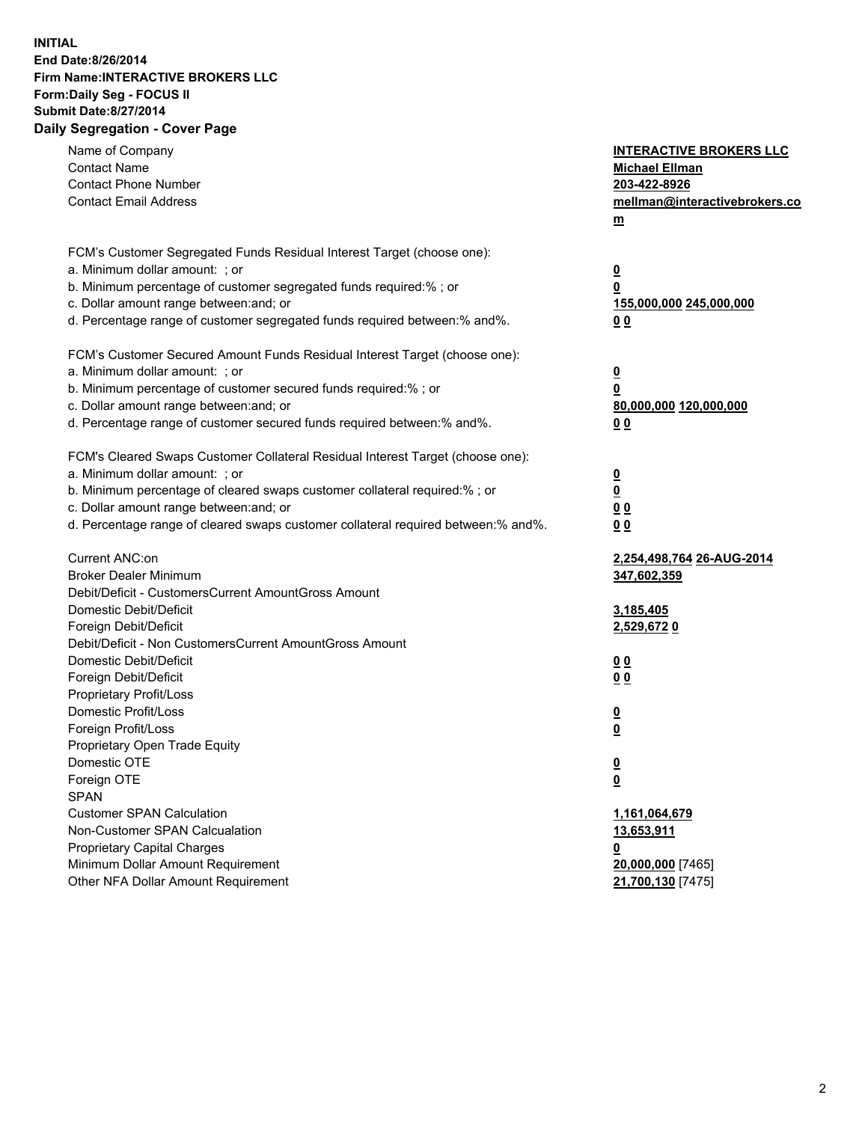## **INITIAL End Date:8/26/2014 Firm Name:INTERACTIVE BROKERS LLC Form:Daily Seg - FOCUS II Submit Date:8/27/2014 Daily Segregation - Cover Page**

| Name of Company<br><b>Contact Name</b><br><b>Contact Phone Number</b><br><b>Contact Email Address</b>    | <b>INTERACTIVE BROKERS LLC</b><br><b>Michael Ellman</b><br>203-422-8926<br>mellman@interactivebrokers.co<br>$m$ |
|----------------------------------------------------------------------------------------------------------|-----------------------------------------------------------------------------------------------------------------|
| FCM's Customer Segregated Funds Residual Interest Target (choose one):<br>a. Minimum dollar amount: ; or | $\overline{\mathbf{0}}$                                                                                         |
| b. Minimum percentage of customer segregated funds required:% ; or                                       | 0                                                                                                               |
| c. Dollar amount range between: and; or                                                                  | 155,000,000 245,000,000                                                                                         |
| d. Percentage range of customer segregated funds required between:% and%.                                | 0 <sub>0</sub>                                                                                                  |
| FCM's Customer Secured Amount Funds Residual Interest Target (choose one):                               |                                                                                                                 |
| a. Minimum dollar amount: ; or                                                                           | $\overline{\mathbf{0}}$                                                                                         |
| b. Minimum percentage of customer secured funds required:% ; or                                          | 0                                                                                                               |
| c. Dollar amount range between: and; or                                                                  | 80,000,000 120,000,000                                                                                          |
| d. Percentage range of customer secured funds required between:% and%.                                   | 0 <sub>0</sub>                                                                                                  |
| FCM's Cleared Swaps Customer Collateral Residual Interest Target (choose one):                           |                                                                                                                 |
| a. Minimum dollar amount: ; or                                                                           | $\overline{\mathbf{0}}$                                                                                         |
| b. Minimum percentage of cleared swaps customer collateral required:% ; or                               | $\overline{\mathbf{0}}$                                                                                         |
| c. Dollar amount range between: and; or                                                                  | 0 <sub>0</sub>                                                                                                  |
| d. Percentage range of cleared swaps customer collateral required between:% and%.                        | 0 <sub>0</sub>                                                                                                  |
| Current ANC:on                                                                                           | 2,254,498,764 26-AUG-2014                                                                                       |
| <b>Broker Dealer Minimum</b>                                                                             | 347,602,359                                                                                                     |
| Debit/Deficit - CustomersCurrent AmountGross Amount                                                      |                                                                                                                 |
| Domestic Debit/Deficit                                                                                   | 3,185,405                                                                                                       |
| Foreign Debit/Deficit                                                                                    | 2,529,6720                                                                                                      |
| Debit/Deficit - Non CustomersCurrent AmountGross Amount                                                  |                                                                                                                 |
| Domestic Debit/Deficit<br>Foreign Debit/Deficit                                                          | 0 <sub>0</sub>                                                                                                  |
| Proprietary Profit/Loss                                                                                  | 0 <sub>0</sub>                                                                                                  |
| Domestic Profit/Loss                                                                                     |                                                                                                                 |
| Foreign Profit/Loss                                                                                      | $\overline{\mathbf{0}}$<br>$\underline{\mathbf{0}}$                                                             |
| Proprietary Open Trade Equity                                                                            |                                                                                                                 |
| Domestic OTE                                                                                             | <u>0</u>                                                                                                        |
| Foreign OTE                                                                                              | <u>0</u>                                                                                                        |
| <b>SPAN</b>                                                                                              |                                                                                                                 |
| <b>Customer SPAN Calculation</b>                                                                         | 1,161,064,679                                                                                                   |
| Non-Customer SPAN Calcualation                                                                           | <u>13,653,911</u>                                                                                               |
| Proprietary Capital Charges                                                                              | <u>0</u>                                                                                                        |
| Minimum Dollar Amount Requirement                                                                        | 20,000,000 [7465]                                                                                               |
| Other NFA Dollar Amount Requirement                                                                      | 21,700,130 [7475]                                                                                               |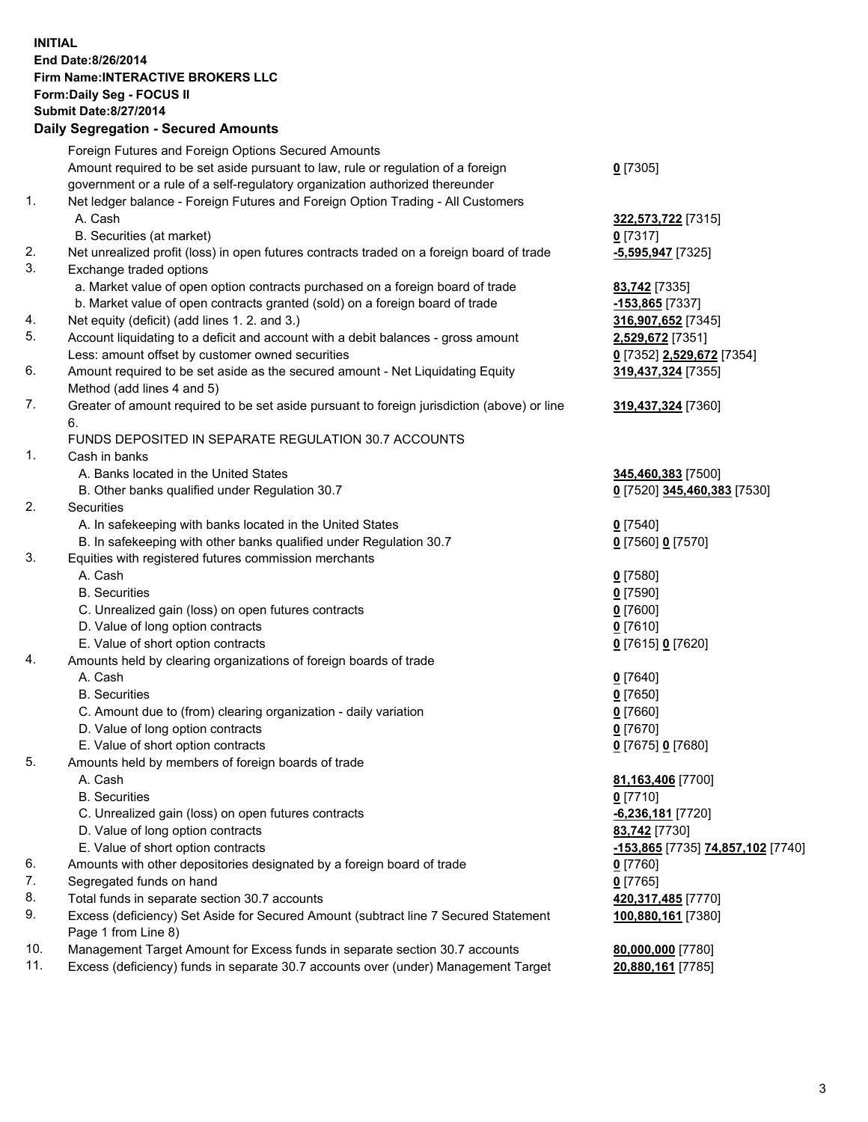## **INITIAL End Date:8/26/2014 Firm Name:INTERACTIVE BROKERS LLC Form:Daily Seg - FOCUS II Submit Date:8/27/2014 Daily Segregation - Secured Amounts**

|     | Dany Ocgregation - Oceanea Annoanta                                                         |                                                 |
|-----|---------------------------------------------------------------------------------------------|-------------------------------------------------|
|     | Foreign Futures and Foreign Options Secured Amounts                                         |                                                 |
|     | Amount required to be set aside pursuant to law, rule or regulation of a foreign            | $0$ [7305]                                      |
|     | government or a rule of a self-regulatory organization authorized thereunder                |                                                 |
| 1.  | Net ledger balance - Foreign Futures and Foreign Option Trading - All Customers             |                                                 |
|     | A. Cash                                                                                     | 322,573,722 [7315]                              |
|     | B. Securities (at market)                                                                   | $0$ [7317]                                      |
| 2.  | Net unrealized profit (loss) in open futures contracts traded on a foreign board of trade   | -5,595,947 [7325]                               |
| 3.  | Exchange traded options                                                                     |                                                 |
|     | a. Market value of open option contracts purchased on a foreign board of trade              | 83,742 [7335]                                   |
|     | b. Market value of open contracts granted (sold) on a foreign board of trade                | $-153,865$ [7337]                               |
| 4.  | Net equity (deficit) (add lines 1.2. and 3.)                                                | 316,907,652 [7345]                              |
| 5.  | Account liquidating to a deficit and account with a debit balances - gross amount           | 2,529,672 [7351]                                |
|     | Less: amount offset by customer owned securities                                            | 0 [7352] 2,529,672 [7354]                       |
| 6.  | Amount required to be set aside as the secured amount - Net Liquidating Equity              | 319,437,324 [7355]                              |
|     | Method (add lines 4 and 5)                                                                  |                                                 |
| 7.  | Greater of amount required to be set aside pursuant to foreign jurisdiction (above) or line | 319,437,324 [7360]                              |
|     | 6.                                                                                          |                                                 |
|     | FUNDS DEPOSITED IN SEPARATE REGULATION 30.7 ACCOUNTS                                        |                                                 |
| 1.  | Cash in banks                                                                               |                                                 |
|     | A. Banks located in the United States                                                       | 345,460,383 [7500]                              |
|     | B. Other banks qualified under Regulation 30.7                                              | 0 [7520] 345,460,383 [7530]                     |
| 2.  | Securities                                                                                  |                                                 |
|     | A. In safekeeping with banks located in the United States                                   | $0$ [7540]                                      |
|     | B. In safekeeping with other banks qualified under Regulation 30.7                          | 0 [7560] 0 [7570]                               |
| 3.  | Equities with registered futures commission merchants                                       |                                                 |
|     | A. Cash                                                                                     | $0$ [7580]                                      |
|     | <b>B.</b> Securities                                                                        | $0$ [7590]                                      |
|     | C. Unrealized gain (loss) on open futures contracts                                         | $0$ [7600]                                      |
|     | D. Value of long option contracts                                                           | $0$ [7610]                                      |
|     | E. Value of short option contracts                                                          | 0 [7615] 0 [7620]                               |
| 4.  | Amounts held by clearing organizations of foreign boards of trade                           |                                                 |
|     | A. Cash                                                                                     | $0$ [7640]                                      |
|     | <b>B.</b> Securities                                                                        | $0$ [7650]                                      |
|     | C. Amount due to (from) clearing organization - daily variation                             | $0$ [7660]                                      |
|     | D. Value of long option contracts                                                           | $0$ [7670]                                      |
|     | E. Value of short option contracts                                                          | 0 [7675] 0 [7680]                               |
| 5.  | Amounts held by members of foreign boards of trade                                          |                                                 |
|     | A. Cash                                                                                     | 81,163,406 [7700]                               |
|     | <b>B.</b> Securities                                                                        | $0$ [7710]                                      |
|     | C. Unrealized gain (loss) on open futures contracts                                         | -6,236,181 [7720]                               |
|     | D. Value of long option contracts                                                           | 83,742 [7730]                                   |
|     | E. Value of short option contracts                                                          | <u>-153,865</u> [7735] <b>74,857,102</b> [7740] |
| 6.  | Amounts with other depositories designated by a foreign board of trade                      | $0$ [7760]                                      |
| 7.  | Segregated funds on hand                                                                    | $0$ [7765]                                      |
| 8.  | Total funds in separate section 30.7 accounts                                               | 420,317,485 [7770]                              |
| 9.  | Excess (deficiency) Set Aside for Secured Amount (subtract line 7 Secured Statement         | 100,880,161 [7380]                              |
|     | Page 1 from Line 8)                                                                         |                                                 |
| 10. | Management Target Amount for Excess funds in separate section 30.7 accounts                 | 80,000,000 [7780]                               |
| 11. | Excess (deficiency) funds in separate 30.7 accounts over (under) Management Target          | 20,880,161 [7785]                               |
|     |                                                                                             |                                                 |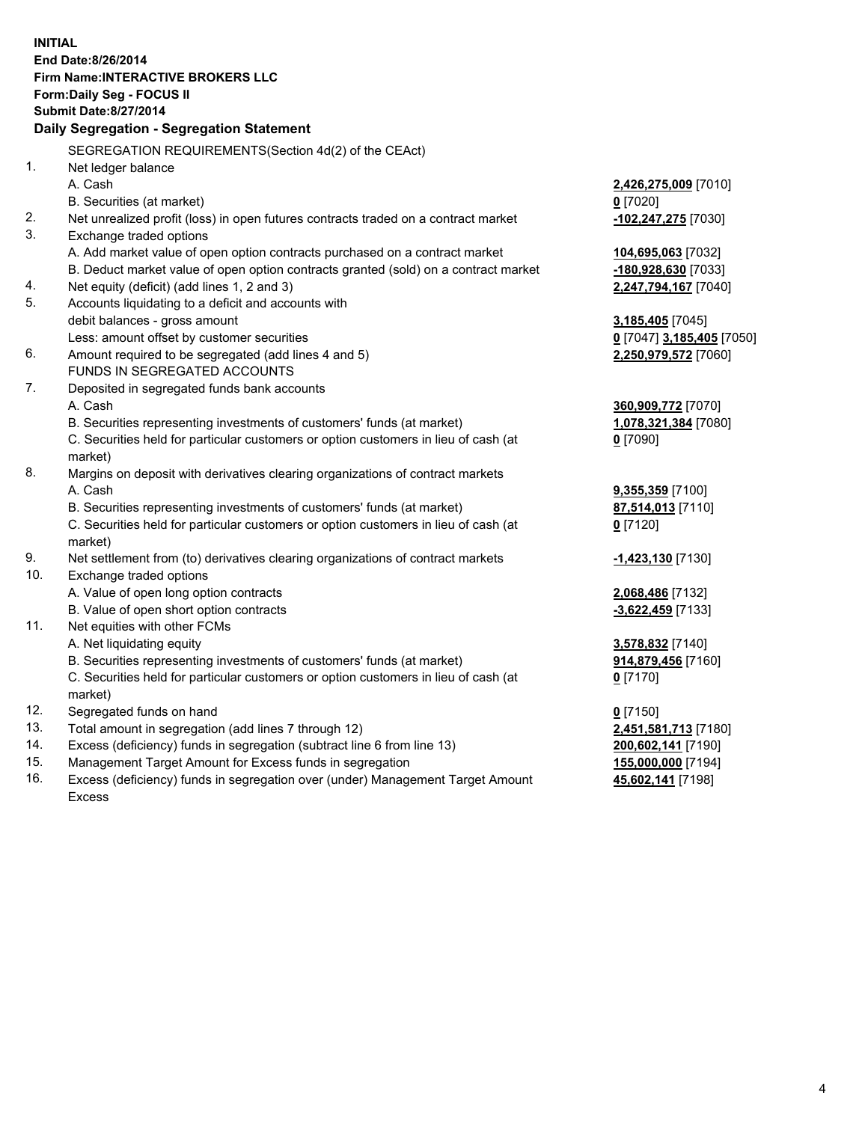**INITIAL End Date:8/26/2014 Firm Name:INTERACTIVE BROKERS LLC Form:Daily Seg - FOCUS II Submit Date:8/27/2014 Daily Segregation - Segregation Statement** SEGREGATION REQUIREMENTS(Section 4d(2) of the CEAct) 1. Net ledger balance A. Cash **2,426,275,009** [7010] B. Securities (at market) **0** [7020] 2. Net unrealized profit (loss) in open futures contracts traded on a contract market **-102,247,275** [7030] 3. Exchange traded options A. Add market value of open option contracts purchased on a contract market **104,695,063** [7032] B. Deduct market value of open option contracts granted (sold) on a contract market **-180,928,630** [7033] 4. Net equity (deficit) (add lines 1, 2 and 3) **2,247,794,167** [7040] 5. Accounts liquidating to a deficit and accounts with debit balances - gross amount **3,185,405** [7045] Less: amount offset by customer securities **0** [7047] **3,185,405** [7050] 6. Amount required to be segregated (add lines 4 and 5) **2,250,979,572** [7060] FUNDS IN SEGREGATED ACCOUNTS 7. Deposited in segregated funds bank accounts A. Cash **360,909,772** [7070] B. Securities representing investments of customers' funds (at market) **1,078,321,384** [7080] C. Securities held for particular customers or option customers in lieu of cash (at market) **0** [7090] 8. Margins on deposit with derivatives clearing organizations of contract markets A. Cash **9,355,359** [7100] B. Securities representing investments of customers' funds (at market) **87,514,013** [7110] C. Securities held for particular customers or option customers in lieu of cash (at market) **0** [7120] 9. Net settlement from (to) derivatives clearing organizations of contract markets **-1,423,130** [7130] 10. Exchange traded options A. Value of open long option contracts **2,068,486** [7132] B. Value of open short option contracts **-3,622,459** [7133] 11. Net equities with other FCMs A. Net liquidating equity **3,578,832** [7140] B. Securities representing investments of customers' funds (at market) **914,879,456** [7160] C. Securities held for particular customers or option customers in lieu of cash (at market) **0** [7170] 12. Segregated funds on hand **0** [7150] 13. Total amount in segregation (add lines 7 through 12) **2,451,581,713** [7180] 14. Excess (deficiency) funds in segregation (subtract line 6 from line 13) **200,602,141** [7190] 15. Management Target Amount for Excess funds in segregation **155,000,000** [7194]

16. Excess (deficiency) funds in segregation over (under) Management Target Amount Excess

**45,602,141** [7198]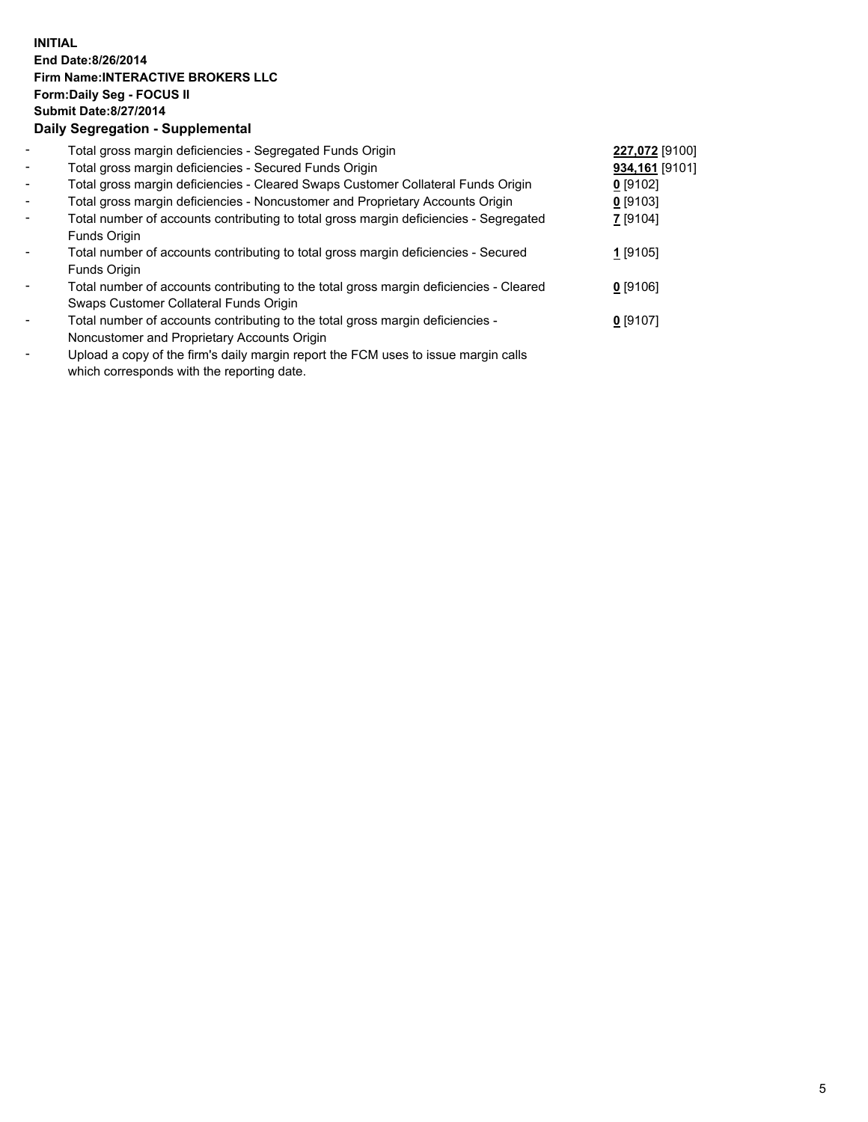## **INITIAL End Date:8/26/2014 Firm Name:INTERACTIVE BROKERS LLC Form:Daily Seg - FOCUS II Submit Date:8/27/2014 Daily Segregation - Supplemental**

| $\blacksquare$               | Total gross margin deficiencies - Segregated Funds Origin                                                                                                                                                                                         | 227,072 [9100] |  |
|------------------------------|---------------------------------------------------------------------------------------------------------------------------------------------------------------------------------------------------------------------------------------------------|----------------|--|
| $\blacksquare$               | Total gross margin deficiencies - Secured Funds Origin                                                                                                                                                                                            | 934,161 [9101] |  |
| $\sim$                       | Total gross margin deficiencies - Cleared Swaps Customer Collateral Funds Origin                                                                                                                                                                  | $0$ [9102]     |  |
| $\sim$                       | Total gross margin deficiencies - Noncustomer and Proprietary Accounts Origin                                                                                                                                                                     | $0$ [9103]     |  |
| $\blacksquare$               | Total number of accounts contributing to total gross margin deficiencies - Segregated                                                                                                                                                             | 7 [9104]       |  |
|                              | Funds Origin                                                                                                                                                                                                                                      |                |  |
| $\blacksquare$               | Total number of accounts contributing to total gross margin deficiencies - Secured                                                                                                                                                                | 1 [9105]       |  |
|                              | Funds Origin                                                                                                                                                                                                                                      |                |  |
| $\qquad \qquad \blacksquare$ | Total number of accounts contributing to the total gross margin deficiencies - Cleared                                                                                                                                                            | $0$ [9106]     |  |
|                              | Swaps Customer Collateral Funds Origin                                                                                                                                                                                                            |                |  |
| $\qquad \qquad \blacksquare$ | Total number of accounts contributing to the total gross margin deficiencies -                                                                                                                                                                    | $0$ [9107]     |  |
|                              | Noncustomer and Proprietary Accounts Origin                                                                                                                                                                                                       |                |  |
|                              | The set of the $\mathcal{C}$ set of the set of the $\mathcal{C}$ and $\mathcal{C}$ and $\mathcal{C}$ is the set of the set of the set of the set of the set of the set of the set of the set of the set of the set of the set of the set of the s |                |  |

- Upload a copy of the firm's daily margin report the FCM uses to issue margin calls which corresponds with the reporting date.